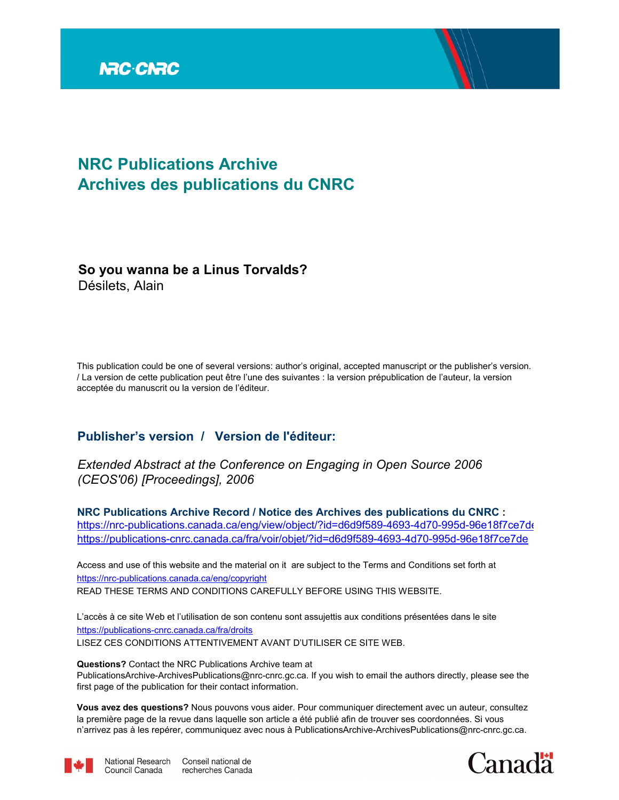

#### **NRC Publications Archive Archives des publications du CNRC**

#### **So you wanna be a Linus Torvalds?** Désilets, Alain

This publication could be one of several versions: author's original, accepted manuscript or the publisher's version. / La version de cette publication peut être l'une des suivantes : la version prépublication de l'auteur, la version acceptée du manuscrit ou la version de l'éditeur.

#### **Publisher's version / Version de l'éditeur:**

*Extended Abstract at the Conference on Engaging in Open Source 2006 (CEOS'06) [Proceedings], 2006*

**NRC Publications Archive Record / Notice des Archives des publications du CNRC :** https://nrc-publications.canada.ca/eng/view/object/?id=d6d9f589-4693-4d70-995d-96e18f7ce7de https://publications-cnrc.canada.ca/fra/voir/objet/?id=d6d9f589-4693-4d70-995d-96e18f7ce7de

READ THESE TERMS AND CONDITIONS CAREFULLY BEFORE USING THIS WEBSITE. https://nrc-publications.canada.ca/eng/copyright Access and use of this website and the material on it are subject to the Terms and Conditions set forth at

https://publications-cnrc.canada.ca/fra/droits L'accès à ce site Web et l'utilisation de son contenu sont assujettis aux conditions présentées dans le site LISEZ CES CONDITIONS ATTENTIVEMENT AVANT D'UTILISER CE SITE WEB.

**Questions?** Contact the NRC Publications Archive team at

PublicationsArchive-ArchivesPublications@nrc-cnrc.gc.ca. If you wish to email the authors directly, please see the first page of the publication for their contact information.

**Vous avez des questions?** Nous pouvons vous aider. Pour communiquer directement avec un auteur, consultez la première page de la revue dans laquelle son article a été publié afin de trouver ses coordonnées. Si vous n'arrivez pas à les repérer, communiquez avec nous à PublicationsArchive-ArchivesPublications@nrc-cnrc.gc.ca.



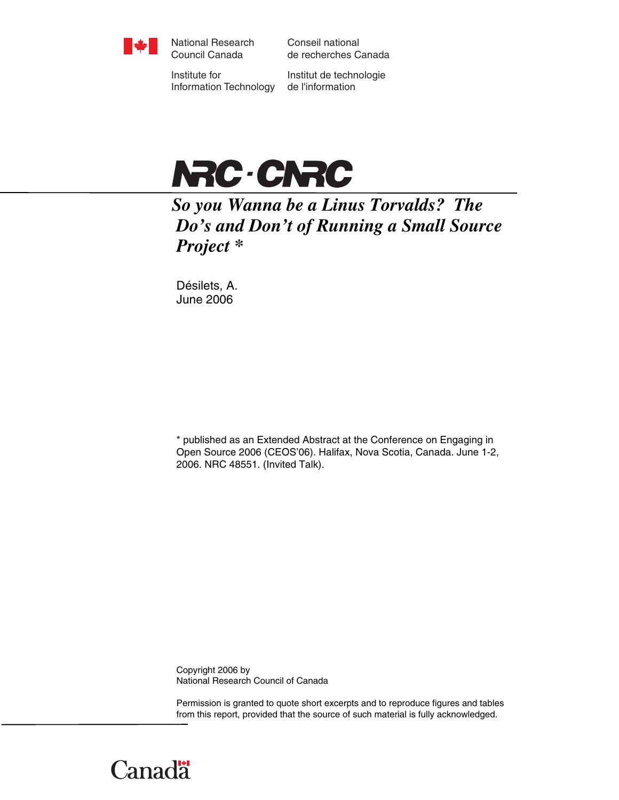

National Research Council Canada

Conseil national de recherches Canada

Institute for Information Technology

Institut de technologie de l'information



*So you Wanna be a Linus Torvalds? The Do's and Don't of Running a Small Source Project \** 

Désilets, A. June 2006

\* published as an Extended Abstract at the Conference on Engaging in Open Source 2006 (CEOS'06). Halifax, Nova Scotia, Canada. June 1-2, 2006. NRC 48551. (Invited Talk).

Copyright 2006 by National Research Council of Canada

Permission is granted to quote short excerpts and to reproduce figures and tables from this report, provided that the source of such material is fully acknowledged.

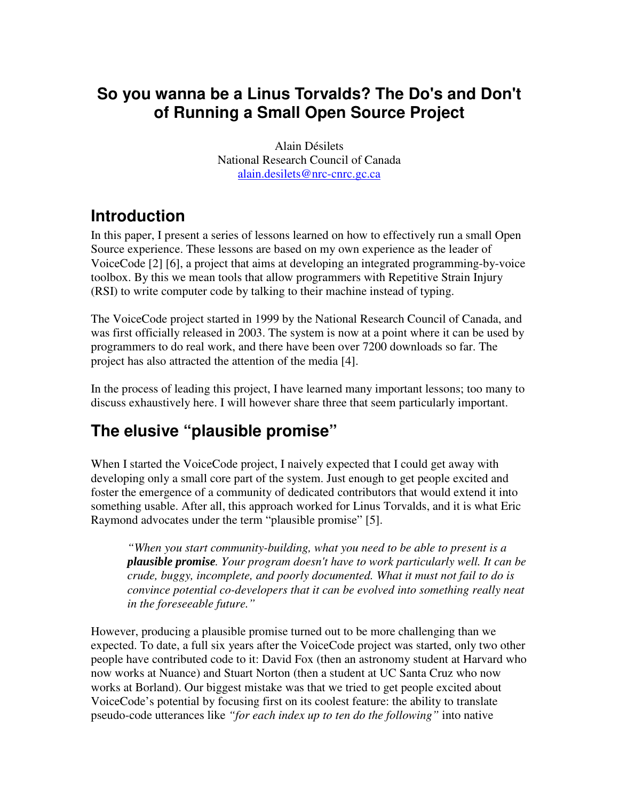#### **So you wanna be a Linus Torvalds? The Do's and Don't of Running a Small Open Source Project**

Alain Désilets National Research Council of Canada alain.desilets@nrc-cnrc.gc.ca

#### **Introduction**

In this paper, I present a series of lessons learned on how to effectively run a small Open Source experience. These lessons are based on my own experience as the leader of VoiceCode [2] [6], a project that aims at developing an integrated programming-by-voice toolbox. By this we mean tools that allow programmers with Repetitive Strain Injury (RSI) to write computer code by talking to their machine instead of typing.

The VoiceCode project started in 1999 by the National Research Council of Canada, and was first officially released in 2003. The system is now at a point where it can be used by programmers to do real work, and there have been over 7200 downloads so far. The project has also attracted the attention of the media [4].

In the process of leading this project, I have learned many important lessons; too many to discuss exhaustively here. I will however share three that seem particularly important.

## **The elusive "plausible promise"**

When I started the VoiceCode project, I naively expected that I could get away with developing only a small core part of the system. Just enough to get people excited and foster the emergence of a community of dedicated contributors that would extend it into something usable. After all, this approach worked for Linus Torvalds, and it is what Eric Raymond advocates under the term "plausible promise" [5].

*"When you start community-building, what you need to be able to present is a plausible promise. Your program doesn't have to work particularly well. It can be crude, buggy, incomplete, and poorly documented. What it must not fail to do is convince potential co-developers that it can be evolved into something really neat in the foreseeable future."* 

However, producing a plausible promise turned out to be more challenging than we expected. To date, a full six years after the VoiceCode project was started, only two other people have contributed code to it: David Fox (then an astronomy student at Harvard who now works at Nuance) and Stuart Norton (then a student at UC Santa Cruz who now works at Borland). Our biggest mistake was that we tried to get people excited about VoiceCode's potential by focusing first on its coolest feature: the ability to translate pseudo-code utterances like *"for each index up to ten do the following"* into native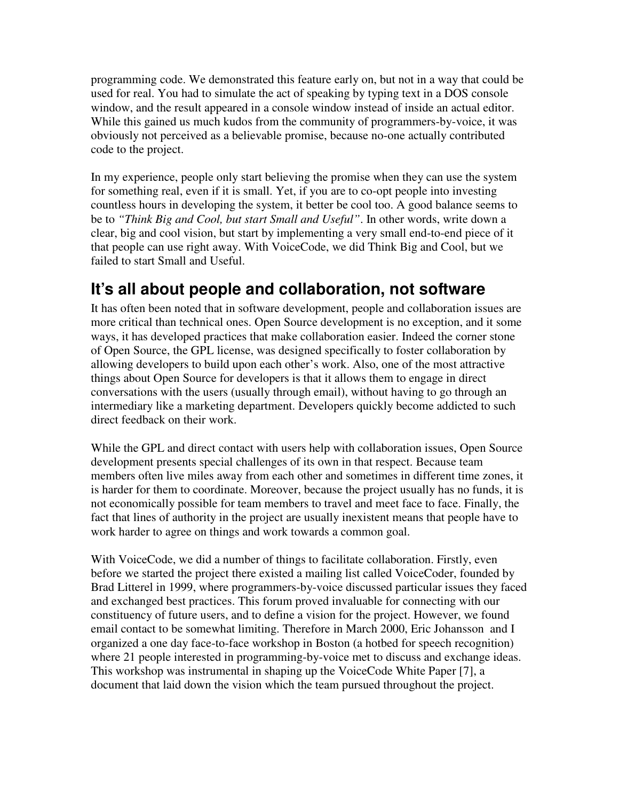programming code. We demonstrated this feature early on, but not in a way that could be used for real. You had to simulate the act of speaking by typing text in a DOS console window, and the result appeared in a console window instead of inside an actual editor. While this gained us much kudos from the community of programmers-by-voice, it was obviously not perceived as a believable promise, because no-one actually contributed code to the project.

In my experience, people only start believing the promise when they can use the system for something real, even if it is small. Yet, if you are to co-opt people into investing countless hours in developing the system, it better be cool too. A good balance seems to be to *"Think Big and Cool, but start Small and Useful"*. In other words, write down a clear, big and cool vision, but start by implementing a very small end-to-end piece of it that people can use right away. With VoiceCode, we did Think Big and Cool, but we failed to start Small and Useful.

## **It's all about people and collaboration, not software**

It has often been noted that in software development, people and collaboration issues are more critical than technical ones. Open Source development is no exception, and it some ways, it has developed practices that make collaboration easier. Indeed the corner stone of Open Source, the GPL license, was designed specifically to foster collaboration by allowing developers to build upon each other's work. Also, one of the most attractive things about Open Source for developers is that it allows them to engage in direct conversations with the users (usually through email), without having to go through an intermediary like a marketing department. Developers quickly become addicted to such direct feedback on their work.

While the GPL and direct contact with users help with collaboration issues, Open Source development presents special challenges of its own in that respect. Because team members often live miles away from each other and sometimes in different time zones, it is harder for them to coordinate. Moreover, because the project usually has no funds, it is not economically possible for team members to travel and meet face to face. Finally, the fact that lines of authority in the project are usually inexistent means that people have to work harder to agree on things and work towards a common goal.

With VoiceCode, we did a number of things to facilitate collaboration. Firstly, even before we started the project there existed a mailing list called VoiceCoder, founded by Brad Litterel in 1999, where programmers-by-voice discussed particular issues they faced and exchanged best practices. This forum proved invaluable for connecting with our constituency of future users, and to define a vision for the project. However, we found email contact to be somewhat limiting. Therefore in March 2000, Eric Johansson and I organized a one day face-to-face workshop in Boston (a hotbed for speech recognition) where 21 people interested in programming-by-voice met to discuss and exchange ideas. This workshop was instrumental in shaping up the VoiceCode White Paper [7], a document that laid down the vision which the team pursued throughout the project.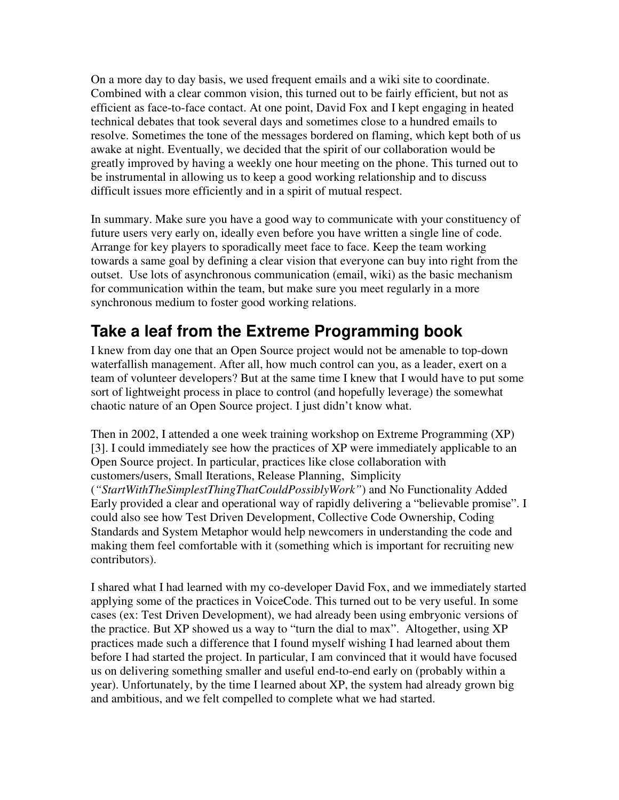On a more day to day basis, we used frequent emails and a wiki site to coordinate. Combined with a clear common vision, this turned out to be fairly efficient, but not as efficient as face-to-face contact. At one point, David Fox and I kept engaging in heated technical debates that took several days and sometimes close to a hundred emails to resolve. Sometimes the tone of the messages bordered on flaming, which kept both of us awake at night. Eventually, we decided that the spirit of our collaboration would be greatly improved by having a weekly one hour meeting on the phone. This turned out to be instrumental in allowing us to keep a good working relationship and to discuss difficult issues more efficiently and in a spirit of mutual respect.

In summary. Make sure you have a good way to communicate with your constituency of future users very early on, ideally even before you have written a single line of code. Arrange for key players to sporadically meet face to face. Keep the team working towards a same goal by defining a clear vision that everyone can buy into right from the outset. Use lots of asynchronous communication (email, wiki) as the basic mechanism for communication within the team, but make sure you meet regularly in a more synchronous medium to foster good working relations.

# **Take a leaf from the Extreme Programming book**

I knew from day one that an Open Source project would not be amenable to top-down waterfallish management. After all, how much control can you, as a leader, exert on a team of volunteer developers? But at the same time I knew that I would have to put some sort of lightweight process in place to control (and hopefully leverage) the somewhat chaotic nature of an Open Source project. I just didn't know what.

Then in 2002, I attended a one week training workshop on Extreme Programming (XP) [3]. I could immediately see how the practices of XP were immediately applicable to an Open Source project. In particular, practices like close collaboration with customers/users, Small Iterations, Release Planning, Simplicity (*"StartWithTheSimplestThingThatCouldPossiblyWork"*) and No Functionality Added Early provided a clear and operational way of rapidly delivering a "believable promise". I could also see how Test Driven Development, Collective Code Ownership, Coding Standards and System Metaphor would help newcomers in understanding the code and making them feel comfortable with it (something which is important for recruiting new contributors).

I shared what I had learned with my co-developer David Fox, and we immediately started applying some of the practices in VoiceCode. This turned out to be very useful. In some cases (ex: Test Driven Development), we had already been using embryonic versions of the practice. But XP showed us a way to "turn the dial to max". Altogether, using XP practices made such a difference that I found myself wishing I had learned about them before I had started the project. In particular, I am convinced that it would have focused us on delivering something smaller and useful end-to-end early on (probably within a year). Unfortunately, by the time I learned about XP, the system had already grown big and ambitious, and we felt compelled to complete what we had started.